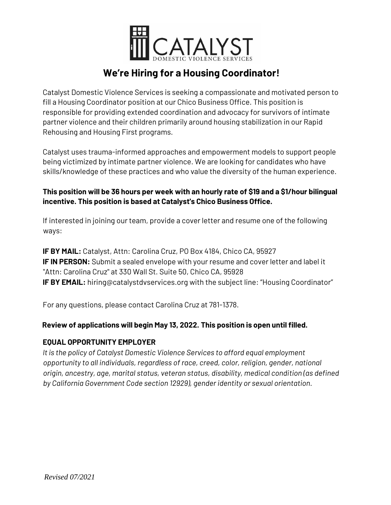

# **We're Hiring for a Housing Coordinator!**

Catalyst Domestic Violence Services is seeking a compassionate and motivated person to fill a Housing Coordinator position at our Chico Business Office. This position is responsible for providing extended coordination and advocacy for survivors of intimate partner violence and their children primarily around housing stabilization in our Rapid Rehousing and Housing First programs.

Catalyst uses trauma-informed approaches and empowerment models to support people being victimized by intimate partner violence. We are looking for candidates who have skills/knowledge of these practices and who value the diversity of the human experience.

## **This position will be 36 hours per week with an hourly rate of \$19 and a \$1/hour bilingual incentive. This position is based at Catalyst's Chico Business Office.**

If interested in joining our team, provide a cover letter and resume one of the following ways:

**IF BY MAIL:** Catalyst, Attn: Carolina Cruz, PO Box 4184, Chico CA, 95927 **IF IN PERSON:** Submit a sealed envelope with your resume and cover letter and label it "Attn: Carolina Cruz" at 330 Wall St. Suite 50, Chico CA, 95928 **IF BY EMAIL:** hiring@catalystdvservices.org with the subject line: "Housing Coordinator"

For any questions, please contact Carolina Cruz at 781-1378.

## **Review of applications will begin May 13, 2022. This position is open until filled.**

#### **EQUAL OPPORTUNITY EMPLOYER**

*It is the policy of Catalyst Domestic Violence Services to afford equal employment opportunity to all individuals, regardless of race, creed, color, religion, gender, national origin, ancestry, age, marital status, veteran status, disability, medical condition (as defined by California Government Code section 12929), gender identity or sexual orientation.*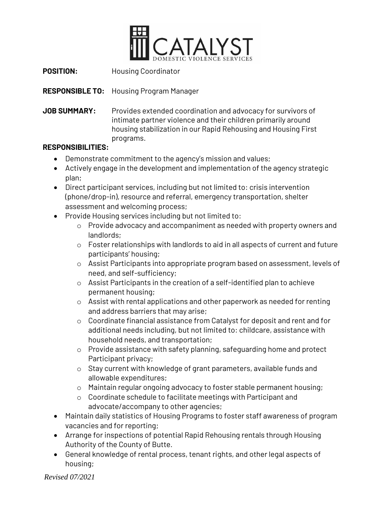

**POSITION:** Housing Coordinator

**RESPONSIBLE TO:** Housing Program Manager

**JOB SUMMARY:** Provides extended coordination and advocacy for survivors of intimate partner violence and their children primarily around housing stabilization in our Rapid Rehousing and Housing First programs.

#### **RESPONSIBILITIES:**

- Demonstrate commitment to the agency's mission and values;
- Actively engage in the development and implementation of the agency strategic plan;
- Direct participant services, including but not limited to: crisis intervention (phone/drop-in), resource and referral, emergency transportation, shelter assessment and welcoming process;
- Provide Housing services including but not limited to:
	- o Provide advocacy and accompaniment as needed with property owners and landlords;
	- o Foster relationships with landlords to aid in all aspects of current and future participants' housing;
	- o Assist Participants into appropriate program based on assessment, levels of need, and self-sufficiency;
	- o Assist Participants in the creation of a self-identified plan to achieve permanent housing;
	- o Assist with rental applications and other paperwork as needed for renting and address barriers that may arise;
	- o Coordinate financial assistance from Catalyst for deposit and rent and for additional needs including, but not limited to: childcare, assistance with household needs, and transportation;
	- o Provide assistance with safety planning, safeguarding home and protect Participant privacy;
	- o Stay current with knowledge of grant parameters, available funds and allowable expenditures;
	- o Maintain regular ongoing advocacy to foster stable permanent housing;
	- o Coordinate schedule to facilitate meetings with Participant and advocate/accompany to other agencies;
- Maintain daily statistics of Housing Programs to foster staff awareness of program vacancies and for reporting;
- Arrange for inspections of potential Rapid Rehousing rentals through Housing Authority of the County of Butte.
- General knowledge of rental process, tenant rights, and other legal aspects of housing;